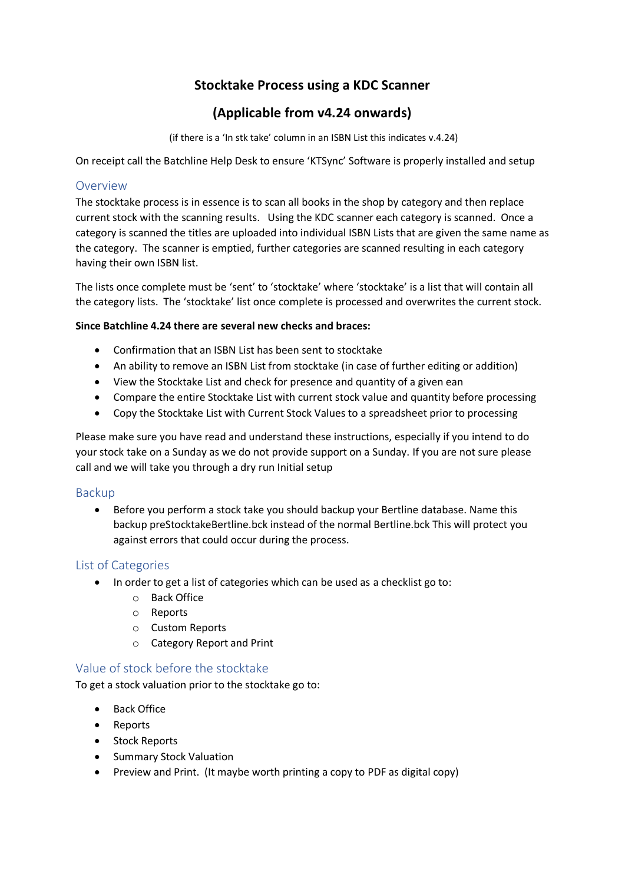# **Stocktake Process using a KDC Scanner**

# **(Applicable from v4.24 onwards)**

(if there is a 'In stk take' column in an ISBN List this indicates v.4.24)

On receipt call the Batchline Help Desk to ensure 'KTSync' Software is properly installed and setup

# Overview

The stocktake process is in essence is to scan all books in the shop by category and then replace current stock with the scanning results. Using the KDC scanner each category is scanned. Once a category is scanned the titles are uploaded into individual ISBN Lists that are given the same name as the category. The scanner is emptied, further categories are scanned resulting in each category having their own ISBN list.

The lists once complete must be 'sent' to 'stocktake' where 'stocktake' is a list that will contain all the category lists. The 'stocktake' list once complete is processed and overwrites the current stock.

#### **Since Batchline 4.24 there are several new checks and braces:**

- Confirmation that an ISBN List has been sent to stocktake
- An ability to remove an ISBN List from stocktake (in case of further editing or addition)
- View the Stocktake List and check for presence and quantity of a given ean
- Compare the entire Stocktake List with current stock value and quantity before processing
- Copy the Stocktake List with Current Stock Values to a spreadsheet prior to processing

Please make sure you have read and understand these instructions, especially if you intend to do your stock take on a Sunday as we do not provide support on a Sunday. If you are not sure please call and we will take you through a dry run Initial setup

#### Backup

• Before you perform a stock take you should backup your Bertline database. Name this backup preStocktakeBertline.bck instead of the normal Bertline.bck This will protect you against errors that could occur during the process.

#### List of Categories

- In order to get a list of categories which can be used as a checklist go to:
	- o Back Office
	- o Reports
	- o Custom Reports
	- o Category Report and Print

# Value of stock before the stocktake

To get a stock valuation prior to the stocktake go to:

- Back Office
- Reports
- Stock Reports
- Summary Stock Valuation
- Preview and Print. (It maybe worth printing a copy to PDF as digital copy)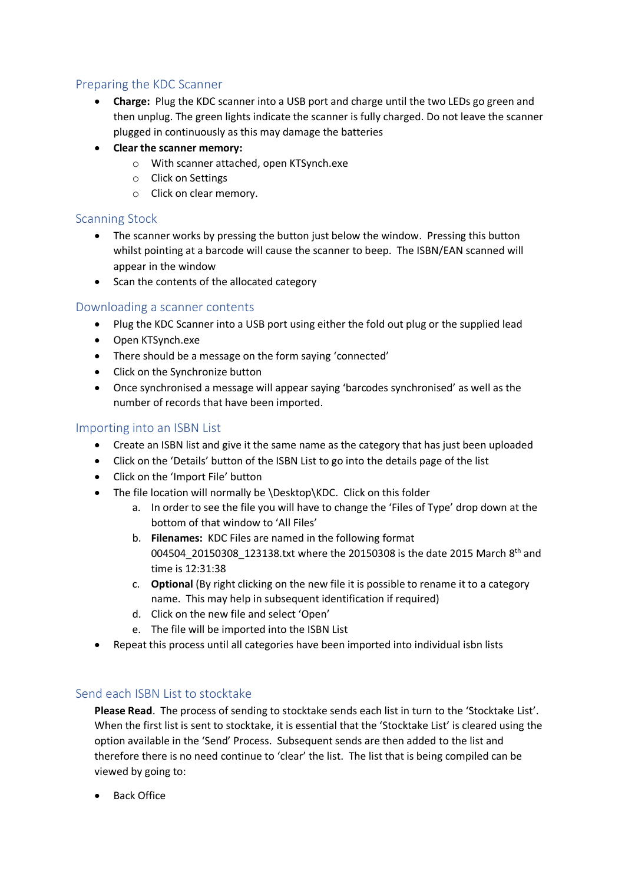# Preparing the KDC Scanner

- **Charge:** Plug the KDC scanner into a USB port and charge until the two LEDs go green and then unplug. The green lights indicate the scanner is fully charged. Do not leave the scanner plugged in continuously as this may damage the batteries
- **Clear the scanner memory:**
	- o With scanner attached, open KTSynch.exe
	- o Click on Settings
	- o Click on clear memory.

# Scanning Stock

- The scanner works by pressing the button just below the window. Pressing this button whilst pointing at a barcode will cause the scanner to beep. The ISBN/EAN scanned will appear in the window
- Scan the contents of the allocated category

## Downloading a scanner contents

- Plug the KDC Scanner into a USB port using either the fold out plug or the supplied lead
- Open KTSynch.exe
- There should be a message on the form saying 'connected'
- Click on the Synchronize button
- Once synchronised a message will appear saying 'barcodes synchronised' as well as the number of records that have been imported.

## Importing into an ISBN List

- Create an ISBN list and give it the same name as the category that has just been uploaded
- Click on the 'Details' button of the ISBN List to go into the details page of the list
- Click on the 'Import File' button
- The file location will normally be \Desktop\KDC. Click on this folder
	- a. In order to see the file you will have to change the 'Files of Type' drop down at the bottom of that window to 'All Files'
	- b. **Filenames:** KDC Files are named in the following format 004504 20150308 123138.txt where the 20150308 is the date 2015 March 8th and time is 12:31:38
	- c. **Optional** (By right clicking on the new file it is possible to rename it to a category name. This may help in subsequent identification if required)
	- d. Click on the new file and select 'Open'
	- e. The file will be imported into the ISBN List
- Repeat this process until all categories have been imported into individual isbn lists

# Send each ISBN List to stocktake

**Please Read**. The process of sending to stocktake sends each list in turn to the 'Stocktake List'. When the first list is sent to stocktake, it is essential that the 'Stocktake List' is cleared using the option available in the 'Send' Process. Subsequent sends are then added to the list and therefore there is no need continue to 'clear' the list. The list that is being compiled can be viewed by going to:

• Back Office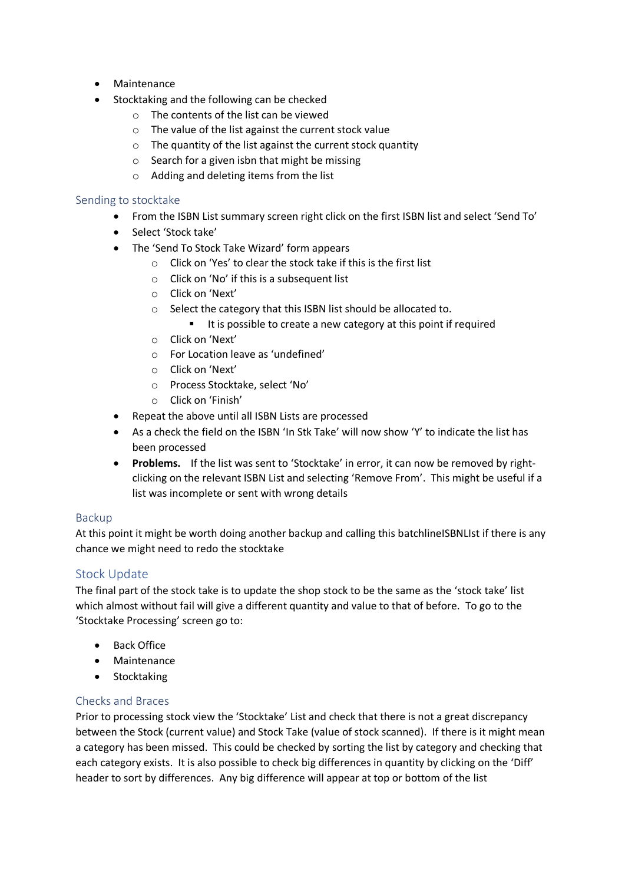- Maintenance
- Stocktaking and the following can be checked
	- o The contents of the list can be viewed
	- o The value of the list against the current stock value
	- o The quantity of the list against the current stock quantity
	- $\circ$  Search for a given isbn that might be missing
	- o Adding and deleting items from the list

#### Sending to stocktake

- From the ISBN List summary screen right click on the first ISBN list and select 'Send To'
- Select 'Stock take'
- The 'Send To Stock Take Wizard' form appears
	- o Click on 'Yes' to clear the stock take if this is the first list
	- o Click on 'No' if this is a subsequent list
	- o Click on 'Next'
	- o Select the category that this ISBN list should be allocated to.
		- It is possible to create a new category at this point if required
	- o Click on 'Next'
	- o For Location leave as 'undefined'
	- o Click on 'Next'
	- o Process Stocktake, select 'No'
	- o Click on 'Finish'
- Repeat the above until all ISBN Lists are processed
- As a check the field on the ISBN 'In Stk Take' will now show 'Y' to indicate the list has been processed
- **Problems.** If the list was sent to 'Stocktake' in error, it can now be removed by rightclicking on the relevant ISBN List and selecting 'Remove From'. This might be useful if a list was incomplete or sent with wrong details

#### Backup

At this point it might be worth doing another backup and calling this batchlineISBNLIst if there is any chance we might need to redo the stocktake

# Stock Update

The final part of the stock take is to update the shop stock to be the same as the 'stock take' list which almost without fail will give a different quantity and value to that of before. To go to the 'Stocktake Processing' screen go to:

- Back Office
- Maintenance
- Stocktaking

#### Checks and Braces

Prior to processing stock view the 'Stocktake' List and check that there is not a great discrepancy between the Stock (current value) and Stock Take (value of stock scanned). If there is it might mean a category has been missed. This could be checked by sorting the list by category and checking that each category exists. It is also possible to check big differences in quantity by clicking on the 'Diff' header to sort by differences. Any big difference will appear at top or bottom of the list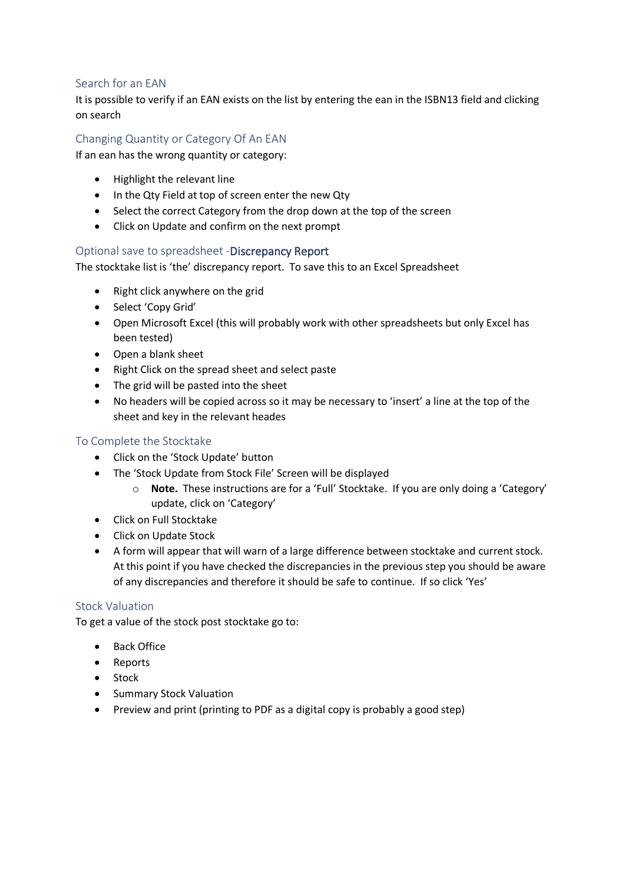## Search for an EAN

It is possible to verify if an EAN exists on the list by entering the ean in the ISBN13 field and clicking on search

# Changing Quantity or Category Of An EAN

If an ean has the wrong quantity or category:

- Highlight the relevant line
- In the Qty Field at top of screen enter the new Qty
- Select the correct Category from the drop down at the top of the screen
- Click on Update and confirm on the next prompt

#### Optional save to spreadsheet -Discrepancy Report

The stocktake list is 'the' discrepancy report. To save this to an Excel Spreadsheet

- Right click anywhere on the grid
- Select 'Copy Grid'
- Open Microsoft Excel (this will probably work with other spreadsheets but only Excel has been tested)
- Open a blank sheet
- Right Click on the spread sheet and select paste
- The grid will be pasted into the sheet
- No headers will be copied across so it may be necessary to 'insert' a line at the top of the sheet and key in the relevant heades

#### To Complete the Stocktake

- Click on the 'Stock Update' button
- The 'Stock Update from Stock File' Screen will be displayed
	- o **Note.** These instructions are for a 'Full' Stocktake. If you are only doing a 'Category' update, click on 'Category'
- Click on Full Stocktake
- Click on Update Stock
- A form will appear that will warn of a large difference between stocktake and current stock. At this point if you have checked the discrepancies in the previous step you should be aware of any discrepancies and therefore it should be safe to continue. If so click 'Yes'

#### Stock Valuation

To get a value of the stock post stocktake go to:

- Back Office
- Reports
- Stock
- Summary Stock Valuation
- Preview and print (printing to PDF as a digital copy is probably a good step)